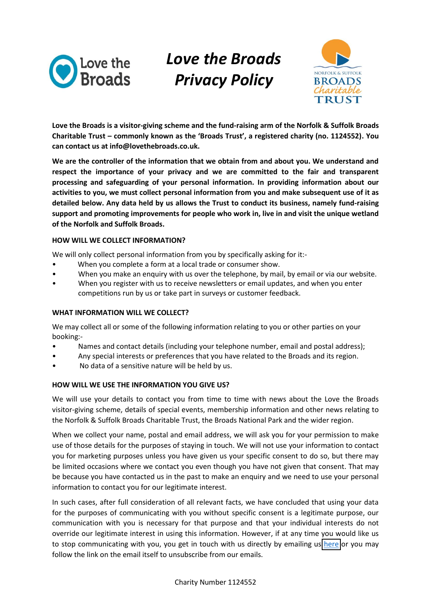

# *Love!the!Broads! Privacy!Policy*



Love the Broads is a visitor-giving scheme and the fund-raising arm of the Norfolk & Suffolk Broads **Charitable Trust – commonly known as the 'Broads Trust', a registered charity (no. 1124552). You** can contact us at info@lovethebroads.co.uk.

We are the controller of the information that we obtain from and about you. We understand and respect the importance of your privacy and we are committed to the fair and transparent **processing! and! safeguarding! of! your! personal! information. In! providing! information! about! our!** activities to you, we must collect personal information from you and make subsequent use of it as **detailed!below.!Any!data!held!by!us allows!the!Trust!to!conduct!its!business,!namely!fund.raising!** support and promoting improvements for people who work in, live in and visit the unique wetland of the Norfolk and Suffolk Broads.

# **HOW WILL WE COLLECT INFORMATION?**

We will only collect personal information from you by specifically asking for it:-

- When you complete a form at a local trade or consumer show.
- When you make an enquiry with us over the telephone, by mail, by email or via our website.
- When you register with us to receive newsletters or email updates, and when you enter competitions run by us or take part in surveys or customer feedback.

# WHAT INFORMATION WILL WE COLLECT?

We may collect all or some of the following information relating to you or other parties on your booking:-

- Names and contact details (including your telephone number, email and postal address);
- Any special interests or preferences that you have related to the Broads and its region.
- No data of a sensitive nature will be held by us.

# HOW WILL WE USE THE INFORMATION YOU GIVE US?

We will use your details to contact you from time to time with news about the Love the Broads visitor-giving scheme, details of special events, membership information and other news relating to the Norfolk & Suffolk Broads Charitable Trust, the Broads National Park and the wider region.

When we collect your name, postal and email address, we will ask you for your permission to make use of those details for the purposes of staying in touch. We will not use your information to contact you for marketing purposes unless you have given us your specific consent to do so, but there may be limited occasions where we contact you even though you have not given that consent. That may be because you have contacted us in the past to make an enquiry and we need to use your personal information to contact you for our legitimate interest.

In such cases, after full consideration of all relevant facts, we have concluded that using your data for the purposes of communicating with you without specific consent is a legitimate purpose, our communication with you is necessary for that purpose and that your individual interests do not override our legitimate interest in using this information. However, if at any time you would like us to stop communicating with you, you get in touch with us directly by emailing us here or you may follow the link on the email itself to unsubscribe from our emails.